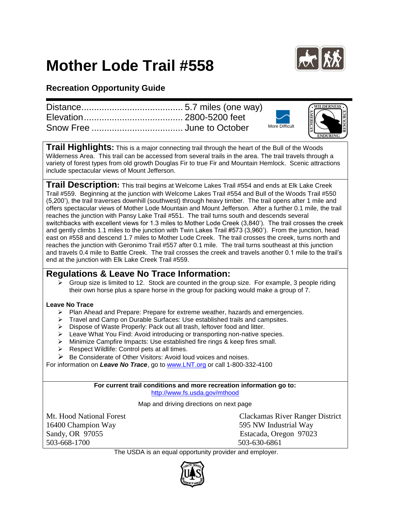## **Mother Lode Trail #558**



## **Recreation Opportunity Guide**

|  | <b>More Difficult</b> | RESOURCE |
|--|-----------------------|----------|
|  |                       |          |

**Trail Highlights:** This is a major connecting trail through the heart of the Bull of the Woods Wilderness Area. This trail can be accessed from several trails in the area. The trail travels through a variety of forest types from old growth Douglas Fir to true Fir and Mountain Hemlock. Scenic attractions include spectacular views of Mount Jefferson.

**Trail Description:** This trail begins at Welcome Lakes Trail #554 and ends at Elk Lake Creek Trail #559. Beginning at the junction with Welcome Lakes Trail #554 and Bull of the Woods Trail #550 (5,200'), the trail traverses downhill (southwest) through heavy timber. The trail opens after 1 mile and offers spectacular views of Mother Lode Mountain and Mount Jefferson. After a further 0.1 mile, the trail reaches the junction with Pansy Lake Trail #551. The trail turns south and descends several switchbacks with excellent views for 1.3 miles to Mother Lode Creek (3,840'). The trail crosses the creek and gently climbs 1.1 miles to the junction with Twin Lakes Trail #573 (3,960'). From the junction, head east on #558 and descend 1.7 miles to Mother Lode Creek. The trail crosses the creek, turns north and reaches the junction with Geronimo Trail #557 after 0.1 mile. The trail turns southeast at this junction and travels 0.4 mile to Battle Creek. The trail crosses the creek and travels another 0.1 mile to the trail's end at the junction with Elk Lake Creek Trail #559.

## **Regulations & Leave No Trace Information:**

 $\geq$  Group size is limited to 12. Stock are counted in the group size. For example, 3 people riding their own horse plus a spare horse in the group for packing would make a group of 7.

## **Leave No Trace**

- $\triangleright$  Plan Ahead and Prepare: Prepare for extreme weather, hazards and emergencies.
- $\triangleright$  Travel and Camp on Durable Surfaces: Use established trails and campsites.
- ▶ Dispose of Waste Properly: Pack out all trash, leftover food and litter.
- > Leave What You Find: Avoid introducing or transporting non-native species.
- > Minimize Campfire Impacts: Use established fire rings & keep fires small.
- $\triangleright$  Respect Wildlife: Control pets at all times.
- $\triangleright$  Be Considerate of Other Visitors: Avoid loud voices and noises.

For information on *Leave No Trace*, go to [www.LNT.org](http://www.lnt.org/) or call 1-800-332-4100

**For current trail conditions and more recreation information go to:** <http://www.fs.usda.gov/mthood>

Map and driving directions on next page

16400 Champion Way 595 NW Industrial Way Sandy, OR 97055 Estacada, Oregon 97023 503-668-1700 503-630-6861

Mt. Hood National Forest Clackamas River Ranger District

The USDA is an equal opportunity provider and employer.